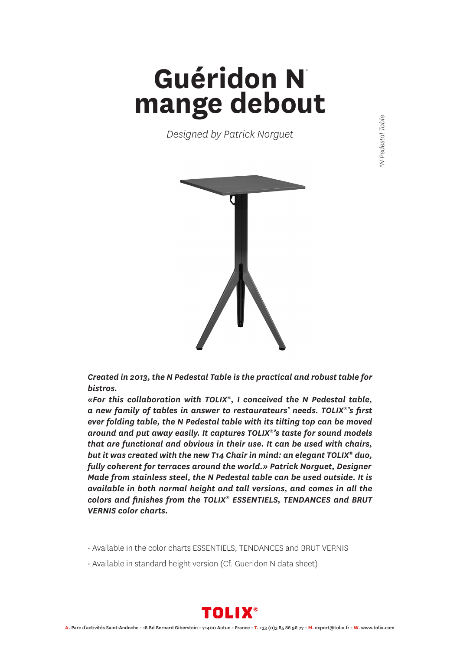## **Guéridon N** *\****mange debout**

*Designed by Patrick Norguet*



*Created in 2013, the N Pedestal Table is the practical and robust table for bistros.*

*«For this collaboration with TOLIX®, I conceived the N Pedestal table, a new family of tables in answer to restaurateurs' needs. TOLIX®'s first ever folding table, the N Pedestal table with its tilting top can be moved around and put away easily. It captures TOLIX®'s taste for sound models that are functional and obvious in their use. It can be used with chairs, but it was created with the new T14 Chair in mind: an elegant TOLIX® duo, fully coherent for terraces around the world.» Patrick Norguet, Designer Made from stainless steel, the N Pedestal table can be used outside. It is available in both normal height and tall versions, and comes in all the colors and finishes from the TOLIX® ESSENTIELS, TENDANCES and BRUT VERNIS color charts.*

- Available in the color charts ESSENTIELS, TENDANCES and BRUT VERNIS
- Available in standard height version (Cf. Gueridon N data sheet)